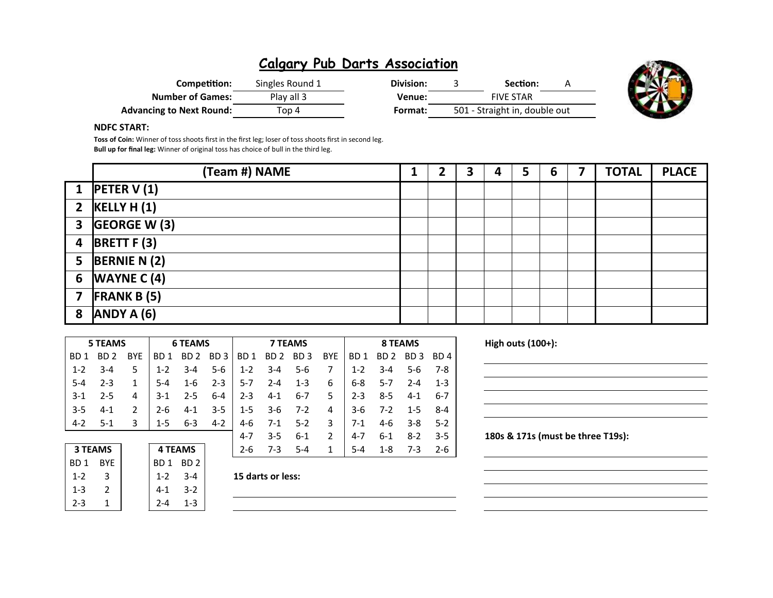| Competition:                    | Singles Round 1 | Division: | Section:                      | A |
|---------------------------------|-----------------|-----------|-------------------------------|---|
| <b>Number of Games:</b>         | Play all 3      | Venue:    | <b>FIVE STAR</b>              |   |
| <b>Advancing to Next Round:</b> | Top 4           | Format:   | 501 - Straight in, double out |   |



### NDFC START:

Toss of Coin: Winner of toss shoots first in the first leg; loser of toss shoots first in second leg. Bull up for final leg: Winner of original toss has choice of bull in the third leg.

|                | (Team #) NAME          |  | 3 | 4 | 5 | 6 | 7 | <b>TOTAL</b> | <b>PLACE</b> |
|----------------|------------------------|--|---|---|---|---|---|--------------|--------------|
|                | 1 <b>PETER V</b> $(1)$ |  |   |   |   |   |   |              |              |
|                | 2 $KELLYH (1)$         |  |   |   |   |   |   |              |              |
|                | $3$ GEORGE W (3)       |  |   |   |   |   |   |              |              |
|                | 4 BRETT $F(3)$         |  |   |   |   |   |   |              |              |
|                | 5 BERNIE N $(2)$       |  |   |   |   |   |   |              |              |
|                | 6 <b>WAYNE C</b> $(4)$ |  |   |   |   |   |   |              |              |
| $\overline{7}$ | FRANK B (5)            |  |   |   |   |   |   |              |              |
| 8              | ANDY A (6)             |  |   |   |   |   |   |              |              |

|                                   |         |                 | <b>8 TEAMS</b>  |                 |            | <b>7 TEAMS</b> |                 |                 |                 | <b>6 TEAMS</b>  |                 |            | <b>5 TEAMS</b>  |                      |
|-----------------------------------|---------|-----------------|-----------------|-----------------|------------|----------------|-----------------|-----------------|-----------------|-----------------|-----------------|------------|-----------------|----------------------|
| High outs (100+):                 |         |                 |                 |                 |            |                |                 |                 |                 |                 |                 |            |                 |                      |
|                                   | BD 4    | BD <sub>3</sub> | BD <sub>2</sub> | BD <sub>1</sub> | <b>BYE</b> | BD 3           | BD <sub>2</sub> | BD <sub>1</sub> | BD <sub>3</sub> | BD <sub>2</sub> | BD <sub>1</sub> | <b>BYE</b> | BD <sub>2</sub> | BD <sub>1</sub>      |
|                                   | 7-8     | 5-6             | $3 - 4$         | $1 - 2$         |            | $5 - 6$        | $3 - 4$         | $1 - 2$         | $5-6$           | $3 - 4$         | $1 - 2$         |            | $3 - 4$         | $1 - 2$              |
|                                   | $1 - 3$ | $2 - 4$         | $5 - 7$         | $6 - 8$         | 6          | $1 - 3$        | $2 - 4$         | $5 - 7$         | $2 - 3$         | $1 - 6$         | $5 - 4$         |            | $2 - 3$         | 5-4                  |
|                                   | $6 - 7$ | $4-1$           | $8 - 5$         | $2 - 3$         | 5.         | $6 - 7$        | $4 - 1$         | $2 - 3$         | $6-4$           | $2 - 5$         | $3-1$           | 4          | $2 - 5$         | $3-1$                |
|                                   | 8-4     | $1 - 5$         | $7 - 2$         | $3-6$           | 4          | $7-2$          | $3-6$           | $1 - 5$         | $3 - 5$         | $4 - 1$         | $2 - 6$         |            | $4 - 1$         | $3 - 5$              |
|                                   | $5-2$   | 3-8             | 4-6             | $7-1$           | 3          | $5-2$          | $7-1$           | 4-6             | $4 - 2$         | $6 - 3$         | $1 - 5$         | 3          | $5 - 1$         | $4 - 2$              |
| 180s & 171s (must be three T19s): | $3 - 5$ | $8 - 2$         | $6 - 1$         | 4-7             |            | $6 - 1$        | $3 - 5$         | $4 - 7$         |                 |                 |                 |            |                 |                      |
|                                   | $2 - 6$ | 7-3             | $1 - 8$         | $5 - 4$         |            | $5 - 4$        | 7-3             | $2 - 6$         |                 |                 | <b>4 TEAMS</b>  |            | <b>3 TEAMS</b>  |                      |
|                                   |         |                 |                 |                 |            |                |                 |                 |                 | <b>DDD</b>      | . . <i>.</i>    |            | $\sim$          | $\sim$ $\sim$ $\sim$ |

| High outs (100+):                 |  |  |
|-----------------------------------|--|--|
|                                   |  |  |
|                                   |  |  |
|                                   |  |  |
|                                   |  |  |
| 180s & 171s (must be three T19s): |  |  |
|                                   |  |  |
|                                   |  |  |
|                                   |  |  |

 $BD 1$  BYE | |BD 1 BD 2 | 1-2  $3 \mid 1$ -2  $3-4 \mid 15$  darts or less:  $1-3$  2  $4-1$  3-2  $2-3$  1 | 2-4 1-3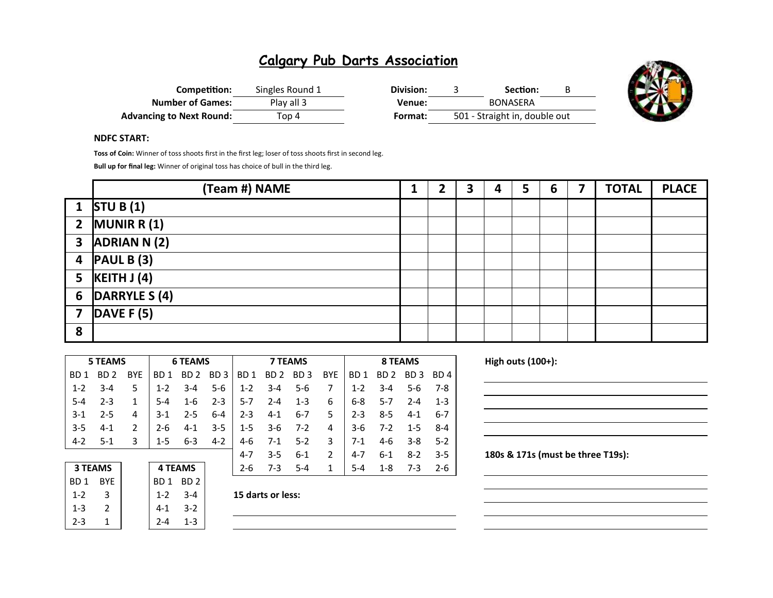| Competition:                    | Singles Round 1 | Division: | Section:                      |  |
|---------------------------------|-----------------|-----------|-------------------------------|--|
| <b>Number of Games:</b>         | Play all 3      | Venue:    | <b>BONASERA</b>               |  |
| <b>Advancing to Next Round:</b> | Top 4           | Format:   | 501 - Straight in, double out |  |



#### NDFC START:

Toss of Coin: Winner of toss shoots first in the first leg; loser of toss shoots first in second leg.

Bull up for final leg: Winner of original toss has choice of bull in the third leg.

|   | (Team #) NAME                         | 1 | 7 | 3 | 4 | 5 | 6 | 7 | <b>TOTAL</b> | <b>PLACE</b> |
|---|---------------------------------------|---|---|---|---|---|---|---|--------------|--------------|
|   | 1 $STU B(1)$                          |   |   |   |   |   |   |   |              |              |
|   | 2 MUNIR R $(1)$                       |   |   |   |   |   |   |   |              |              |
|   | 3 $ADRIAN N(2)$                       |   |   |   |   |   |   |   |              |              |
|   | 4 $\vert$ PAUL B $\vert$ 3)           |   |   |   |   |   |   |   |              |              |
|   | 5 $\left  \text{KEITH J (4)} \right $ |   |   |   |   |   |   |   |              |              |
| 6 | DARRYLE S (4)                         |   |   |   |   |   |   |   |              |              |
| 7 | $\vert$ DAVE F $\vert$ 5)             |   |   |   |   |   |   |   |              |              |
| 8 |                                       |   |   |   |   |   |   |   |              |              |

|                 | <b>5 TEAMS</b><br><b>6 TEAMS</b> |                |                 |                 |                 |                 | <b>7 TEAMS</b>  |                 |               | <b>8 TEAMS</b> |                 |          |                 |  |
|-----------------|----------------------------------|----------------|-----------------|-----------------|-----------------|-----------------|-----------------|-----------------|---------------|----------------|-----------------|----------|-----------------|--|
| BD <sub>1</sub> | BD 2                             | <b>BYE</b>     | BD <sub>1</sub> | BD <sub>2</sub> | BD <sub>3</sub> | BD <sub>1</sub> | BD <sub>2</sub> | BD <sub>3</sub> | <b>BYE</b>    | BD 1           | BD <sub>2</sub> | BD.<br>3 | BD <sub>4</sub> |  |
| $1 - 2$         | 3-4                              | 5              | $1 - 2$         | $3 - 4$         | $5-6$           | $1 - 2$         | $3 - 4$         | 5-6             | 7             | $1 - 2$        | $3 - 4$         | $5-6$    | 7-8             |  |
| $5 - 4$         | $2 - 3$                          | 1              | $5 - 4$         | $1-6$           | $2 - 3$         | $5 - 7$         | $2 - 4$         | $1 - 3$         | 6             | $6 - 8$        | $5 - 7$         | $2 - 4$  | $1 - 3$         |  |
| $3-1$           | $2 - 5$                          | 4              | $3-1$           | $2 - 5$         | $6 - 4$         | $2 - 3$         | $4-1$           | 6-7             | 5             | $2 - 3$        | $8 - 5$         | $4 - 1$  | $6 - 7$         |  |
| $3 - 5$         | $4 - 1$                          | $\mathfrak{p}$ | $2 - 6$         | $4 - 1$         | $3 - 5$         | $1 - 5$         | $3-6$           | 7-2             | 4             | $3 - 6$        | $7 - 2$         | $1 - 5$  | $8 - 4$         |  |
| $4 - 2$         | $5-1$                            | 3              | $1 - 5$         | $6 - 3$         | $4 - 2$         | $4-6$           | $7-1$           | $5 - 2$         | 3             | $7-1$          | 4-6             | $3 - 8$  | $5 - 2$         |  |
|                 |                                  |                |                 |                 |                 | $4 - 7$         | $3 - 5$         | $6 - 1$         | $\mathcal{P}$ | $4 - 7$        | $6 - 1$         | $8 - 2$  | $3 - 5$         |  |
|                 | <b>3 TEAMS</b>                   |                | <b>4 TEAMS</b>  |                 |                 | $2 - 6$         | $7-3$           | $5 - 4$         | 1             | $5 - 4$        | $1 - 8$         | $7 - 3$  | $2 - 6$         |  |
| BD <sub>1</sub> | <b>BYE</b>                       |                | BD <sub>1</sub> | BD <sub>2</sub> |                 |                 |                 |                 |               |                |                 |          |                 |  |

| <b>3 TEAMS</b><br><b>4 TEAMS</b><br>$2 - 6$        | $7-3$ |
|----------------------------------------------------|-------|
| <b>RYF</b><br>BD 1<br>BD 2<br>BD 1                 |       |
| 15 darts or less:<br>$3 - 4$<br>$1 - 2$<br>$1 - 2$ |       |
| $3-2$<br>$1 - 3$<br>$4-1$                          |       |
| $2-3$<br>$1 - 3$                                   |       |

High outs  $(100+)$ :

### 180s & 171s (must be three T19s):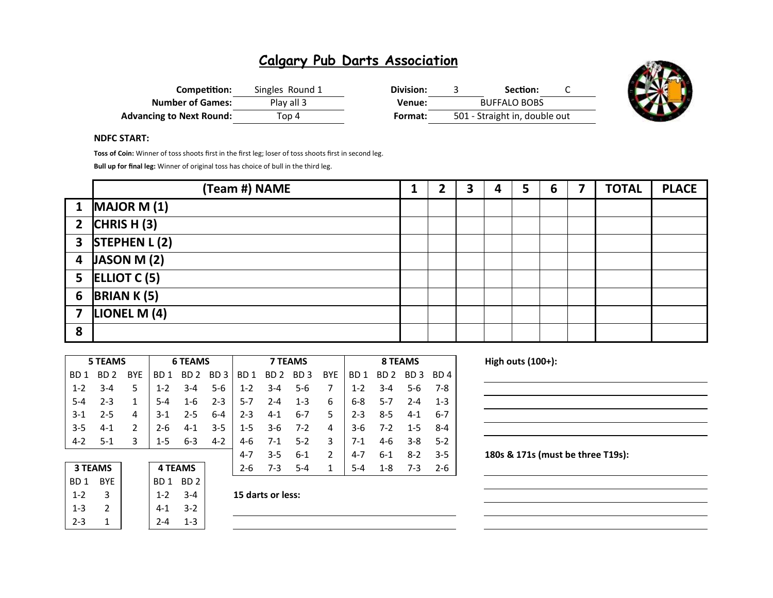| Competition:                    | Singles Round 1 | Division: | Section:                      |  |
|---------------------------------|-----------------|-----------|-------------------------------|--|
| <b>Number of Games:</b>         | Play all 3      | Venue:    | <b>BUFFALO BOBS</b>           |  |
| <b>Advancing to Next Round:</b> | Top 4           | Format:   | 501 - Straight in, double out |  |



#### NDFC START:

Toss of Coin: Winner of toss shoots first in the first leg; loser of toss shoots first in second leg.

Bull up for final leg: Winner of original toss has choice of bull in the third leg.

|                         | (Team #) NAME       | 1 | າ | 3 | 4 | 5 | 6 | 7 | <b>TOTAL</b> | <b>PLACE</b> |
|-------------------------|---------------------|---|---|---|---|---|---|---|--------------|--------------|
|                         | $1$ MAJOR M $(1)$   |   |   |   |   |   |   |   |              |              |
|                         | 2 $ CHRISH(3) $     |   |   |   |   |   |   |   |              |              |
|                         | 3 STEPHEN $L(2)$    |   |   |   |   |   |   |   |              |              |
| $\overline{\mathbf{4}}$ | JASON M(2)          |   |   |   |   |   |   |   |              |              |
|                         | 5 ELLIOT C $(5)$    |   |   |   |   |   |   |   |              |              |
| 6                       | <b>BRIAN K (5)</b>  |   |   |   |   |   |   |   |              |              |
| 7                       | <b>LIONEL M (4)</b> |   |   |   |   |   |   |   |              |              |
| 8                       |                     |   |   |   |   |   |   |   |              |              |

|                 | <b>5 TEAMS</b> |                |                | <b>6 TEAMS</b>  |                 |                 | <b>7 TEAMS</b>  |                 |            | 8 TEAMS |                 |          |                 |  |
|-----------------|----------------|----------------|----------------|-----------------|-----------------|-----------------|-----------------|-----------------|------------|---------|-----------------|----------|-----------------|--|
| BD <sub>1</sub> | BD 2           | <b>BYE</b>     | BD 1           | BD 2            | BD <sub>3</sub> | BD <sub>1</sub> | BD <sub>2</sub> | BD <sub>3</sub> | <b>BYE</b> | BD 1    | BD <sub>2</sub> | BD.<br>3 | BD <sub>4</sub> |  |
| $1 - 2$         | 3-4            | 5              | $1 - 2$        | $3 - 4$         | $5-6$           | $1 - 2$         | $3 - 4$         | $5 - 6$         | 7          | $1 - 2$ | $3 - 4$         | $5 - 6$  | $7-8$           |  |
| $5 - 4$         | $2 - 3$        | 1              | $5 - 4$        | $1 - 6$         | $2 - 3$         | $5 - 7$         | $2 - 4$         | $1 - 3$         | 6          | $6 - 8$ | $5 - 7$         | $2 - 4$  | $1 - 3$         |  |
| $3-1$           | $2 - 5$        | 4              | 3-1            | $2 - 5$         | $6 - 4$         | $2 - 3$         | $4-1$           | $6 - 7$         | 5          | $2 - 3$ | $8 - 5$         | $4 - 1$  | $6 - 7$         |  |
| $3 - 5$         | $4 - 1$        | $\mathfrak{p}$ | $2 - 6$        | $4 - 1$         | $3 - 5$         | $1 - 5$         | 3-6             | $7-2$           | 4          | $3-6$   | $7-2$           | $1 - 5$  | $8 - 4$         |  |
| $4 - 2$         | $5-1$          | 3              | $1 - 5$        | $6 - 3$         | $4 - 2$         | $4-6$           | $7-1$           | $5-2$           | 3          | $7-1$   | $4-6$           | $3 - 8$  | $5-2$           |  |
|                 |                |                |                |                 |                 | 4-7             | 3-5             | $6 - 1$         | 2          | $4 - 7$ | $6 - 1$         | $8 - 2$  | $3 - 5$         |  |
|                 | <b>3 TEAMS</b> |                | <b>4 TEAMS</b> |                 |                 | $2 - 6$         | $7-3$           | $5 - 4$         | 1          | $5 - 4$ | $1 - 8$         | $7-3$    | $2 - 6$         |  |
| BD <sub>1</sub> | <b>BYE</b>     |                | BD 1           | BD <sub>2</sub> |                 |                 |                 |                 |            |         |                 |          |                 |  |

| 3 I LAMS        |               | 4 I LAMS                           |            |         |  |  |
|-----------------|---------------|------------------------------------|------------|---------|--|--|
| BD <sub>1</sub> | <b>BYE</b>    | BD <sub>2</sub><br>BD <sub>1</sub> |            |         |  |  |
| $1 - 2$         | 3             |                                    | $1 - 2$    | $3 - 4$ |  |  |
| $1 - 3$         | $\mathcal{P}$ |                                    | 4-1        | $3-2$   |  |  |
| $2 - 3$         |               |                                    | 1-3<br>7-4 |         |  |  |

1-2  $3-4$  15 darts or less:

High outs  $(100+)$ :

180s & 171s (must be three T19s):